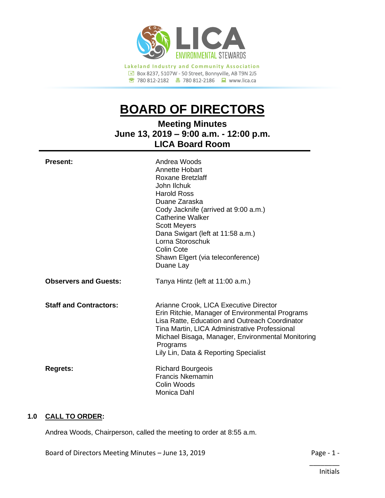

**<sup><b><sup>●</sup>**</sup> 780 812-2182 ● 780 812-2186 ● www.lica.ca

# **BOARD OF DIRECTORS**

**Meeting Minutes June 13, 2019 – 9:00 a.m. - 12:00 p.m. LICA Board Room**

| <b>Present:</b>               | Andrea Woods<br>Annette Hobart<br>Roxane Bretzlaff<br>John Ilchuk<br><b>Harold Ross</b><br>Duane Zaraska<br>Cody Jacknife (arrived at 9:00 a.m.)<br><b>Catherine Walker</b><br><b>Scott Meyers</b><br>Dana Swigart (left at 11:58 a.m.)<br>Lorna Storoschuk<br>Colin Cote<br>Shawn Elgert (via teleconference)<br>Duane Lay |
|-------------------------------|-----------------------------------------------------------------------------------------------------------------------------------------------------------------------------------------------------------------------------------------------------------------------------------------------------------------------------|
| <b>Observers and Guests:</b>  | Tanya Hintz (left at 11:00 a.m.)                                                                                                                                                                                                                                                                                            |
| <b>Staff and Contractors:</b> | Arianne Crook, LICA Executive Director<br>Erin Ritchie, Manager of Environmental Programs<br>Lisa Ratte, Education and Outreach Coordinator<br>Tina Martin, LICA Administrative Professional<br>Michael Bisaga, Manager, Environmental Monitoring<br>Programs<br>Lily Lin, Data & Reporting Specialist                      |
| <b>Regrets:</b>               | <b>Richard Bourgeois</b><br><b>Francis Nkemamin</b><br>Colin Woods<br>Monica Dahl                                                                                                                                                                                                                                           |

# **1.0 CALL TO ORDER:**

Andrea Woods, Chairperson, called the meeting to order at 8:55 a.m.

Board of Directors Meeting Minutes – June 13, 2019 **Page - 1 -** Page - 1 -

\_\_\_\_\_\_\_\_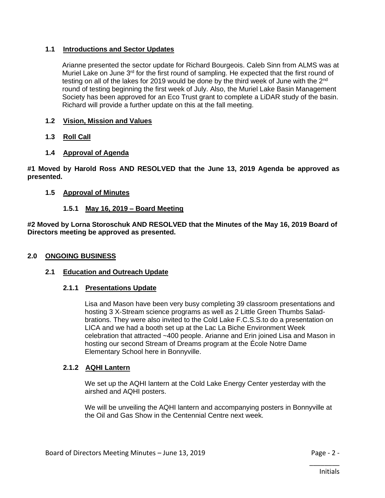# **1.1 Introductions and Sector Updates**

Arianne presented the sector update for Richard Bourgeois. Caleb Sinn from ALMS was at Muriel Lake on June  $3<sup>rd</sup>$  for the first round of sampling. He expected that the first round of testing on all of the lakes for 2019 would be done by the third week of June with the 2<sup>nd</sup> round of testing beginning the first week of July. Also, the Muriel Lake Basin Management Society has been approved for an Eco Trust grant to complete a LiDAR study of the basin. Richard will provide a further update on this at the fall meeting.

- **1.2 Vision, Mission and Values**
- **1.3 Roll Call**
- **1.4 Approval of Agenda**

**#1 Moved by Harold Ross AND RESOLVED that the June 13, 2019 Agenda be approved as presented.**

# **1.5 Approval of Minutes**

# **1.5.1 May 16, 2019 – Board Meeting**

**#2 Moved by Lorna Storoschuk AND RESOLVED that the Minutes of the May 16, 2019 Board of Directors meeting be approved as presented.**

# **2.0 ONGOING BUSINESS**

# **2.1 Education and Outreach Update**

# **2.1.1 Presentations Update**

Lisa and Mason have been very busy completing 39 classroom presentations and hosting 3 X-Stream science programs as well as 2 Little Green Thumbs Saladbrations. They were also invited to the Cold Lake F.C.S.S.to do a presentation on LICA and we had a booth set up at the Lac La Biche Environment Week celebration that attracted ~400 people. Arianne and Erin joined Lisa and Mason in hosting our second Stream of Dreams program at the École Notre Dame Elementary School here in Bonnyville.

# **2.1.2 AQHI Lantern**

We set up the AQHI lantern at the Cold Lake Energy Center yesterday with the airshed and AQHI posters.

We will be unveiling the AQHI lantern and accompanying posters in Bonnyville at the Oil and Gas Show in the Centennial Centre next week.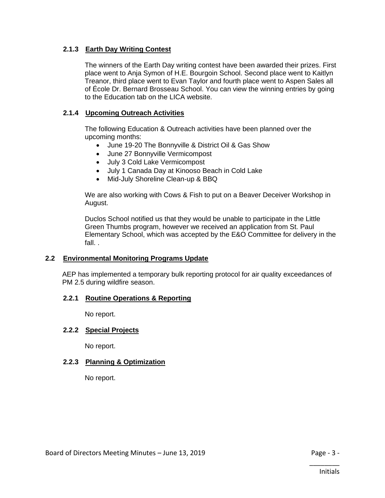# **2.1.3 Earth Day Writing Contest**

The winners of the Earth Day writing contest have been awarded their prizes. First place went to Anja Symon of H.E. Bourgoin School. Second place went to Kaitlyn Treanor, third place went to Evan Taylor and fourth place went to Aspen Sales all of École Dr. Bernard Brosseau School. You can view the winning entries by going to the Education tab on the LICA website.

# **2.1.4 Upcoming Outreach Activities**

The following Education & Outreach activities have been planned over the upcoming months:

- June 19-20 The Bonnyville & District Oil & Gas Show
- June 27 Bonnyville Vermicompost
- July 3 Cold Lake Vermicompost
- July 1 Canada Day at Kinooso Beach in Cold Lake
- Mid-July Shoreline Clean-up & BBQ

We are also working with Cows & Fish to put on a Beaver Deceiver Workshop in August.

Duclos School notified us that they would be unable to participate in the Little Green Thumbs program, however we received an application from St. Paul Elementary School, which was accepted by the E&O Committee for delivery in the fall. .

# **2.2 Environmental Monitoring Programs Update**

AEP has implemented a temporary bulk reporting protocol for air quality exceedances of PM 2.5 during wildfire season.

# **2.2.1 Routine Operations & Reporting**

No report.

# **2.2.2 Special Projects**

No report.

# **2.2.3 Planning & Optimization**

No report.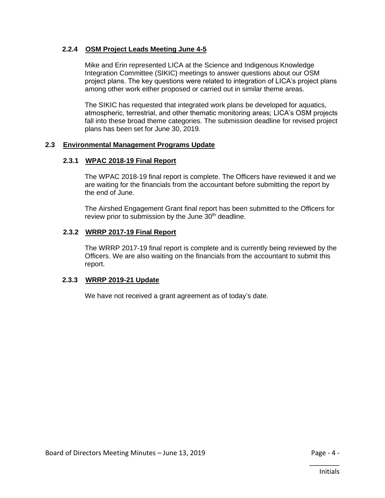# **2.2.4 OSM Project Leads Meeting June 4-5**

Mike and Erin represented LICA at the Science and Indigenous Knowledge Integration Committee (SIKIC) meetings to answer questions about our OSM project plans. The key questions were related to integration of LICA's project plans among other work either proposed or carried out in similar theme areas.

The SIKIC has requested that integrated work plans be developed for aquatics, atmospheric, terrestrial, and other thematic monitoring areas; LICA's OSM projects fall into these broad theme categories. The submission deadline for revised project plans has been set for June 30, 2019.

#### **2.3 Environmental Management Programs Update**

#### **2.3.1 WPAC 2018-19 Final Report**

The WPAC 2018-19 final report is complete. The Officers have reviewed it and we are waiting for the financials from the accountant before submitting the report by the end of June.

The Airshed Engagement Grant final report has been submitted to the Officers for review prior to submission by the June 30<sup>th</sup> deadline.

#### **2.3.2 WRRP 2017-19 Final Report**

The WRRP 2017-19 final report is complete and is currently being reviewed by the Officers. We are also waiting on the financials from the accountant to submit this report.

# **2.3.3 WRRP 2019-21 Update**

We have not received a grant agreement as of today's date.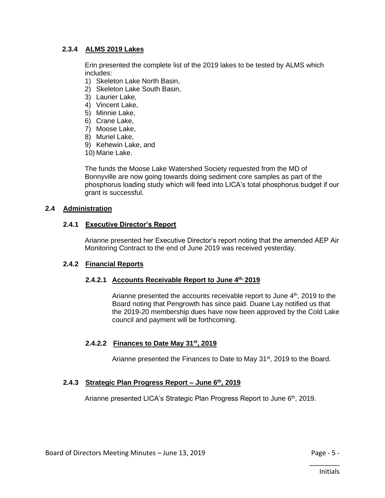# **2.3.4 ALMS 2019 Lakes**

Erin presented the complete list of the 2019 lakes to be tested by ALMS which includes:

- 1) Skeleton Lake North Basin,
- 2) Skeleton Lake South Basin,
- 3) Laurier Lake,
- 4) Vincent Lake,
- 5) Minnie Lake,
- 6) Crane Lake,
- 7) Moose Lake,
- 8) Muriel Lake,
- 9) Kehewin Lake, and
- 10) Marie Lake.

The funds the Moose Lake Watershed Society requested from the MD of Bonnyville are now going towards doing sediment core samples as part of the phosphorus loading study which will feed into LICA's total phosphorus budget if our grant is successful.

#### **2.4 Administration**

#### **2.4.1 Executive Director's Report**

Arianne presented her Executive Director's report noting that the amended AEP Air Monitoring Contract to the end of June 2019 was received yesterday.

# **2.4.2 Financial Reports**

# **2.4.2.1 Accounts Receivable Report to June 4th, 2019**

Arianne presented the accounts receivable report to June 4<sup>th</sup>, 2019 to the Board noting that Pengrowth has since paid. Duane Lay notified us that the 2019-20 membership dues have now been approved by the Cold Lake council and payment will be forthcoming.

# **2.4.2.2 Finances to Date May 31st, 2019**

Arianne presented the Finances to Date to May 31<sup>st</sup>, 2019 to the Board.

# **2.4.3 Strategic Plan Progress Report – June 6th, 2019**

Arianne presented LICA's Strategic Plan Progress Report to June 6<sup>th</sup>, 2019.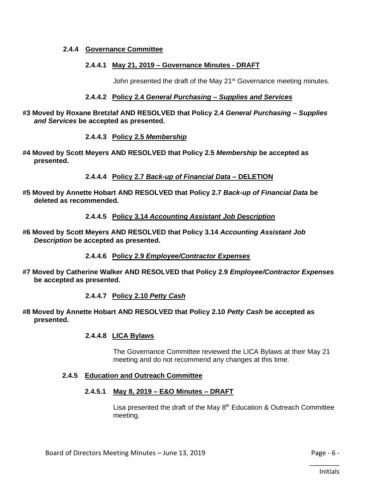#### **2.4.4 Governance Committee**

#### **2.4.4.1 May 21, 2019 – Governance Minutes - DRAFT**

John presented the draft of the May 21<sup>st</sup> Governance meeting minutes.

#### **2.4.4.2 Policy 2.4** *General Purchasing – Supplies and Services*

**#3 Moved by Roxane Bretzlaf AND RESOLVED that Policy 2.4** *General Purchasing – Supplies and Services* **be accepted as presented.**

# **2.4.4.3 Policy 2.5** *Membership*

**#4 Moved by Scott Meyers AND RESOLVED that Policy 2.5** *Membership* **be accepted as presented.**

# **2.4.4.4 Policy 2.7** *Back-up of Financial Data –* **DELETION**

**#5 Moved by Annette Hobart AND RESOLVED that Policy 2.7** *Back-up of Financial Data* **be deleted as recommended.**

# **2.4.4.5 Policy 3.14** *Accounting Assistant Job Description*

**#6 Moved by Scott Meyers AND RESOLVED that Policy 3.14** *Accounting Assistant Job Description* **be accepted as presented.**

# **2.4.4.6 Policy 2.9** *Employee/Contractor Expenses*

**#7 Moved by Catherine Walker AND RESOLVED that Policy 2.9** *Employee/Contractor Expenses* **be accepted as presented.**

# **2.4.4.7 Policy 2.10** *Petty Cash*

**#8 Moved by Annette Hobart AND RESOLVED that Policy 2.10** *Petty Cash* **be accepted as presented.**

#### **2.4.4.8 LICA Bylaws**

The Governance Committee reviewed the LICA Bylaws at their May 21 meeting and do not recommend any changes at this time.

#### **2.4.5 Education and Outreach Committee**

#### **2.4.5.1 May 8, 2019 – E&O Minutes – DRAFT**

Lisa presented the draft of the May  $8<sup>th</sup>$  Education & Outreach Committee meeting.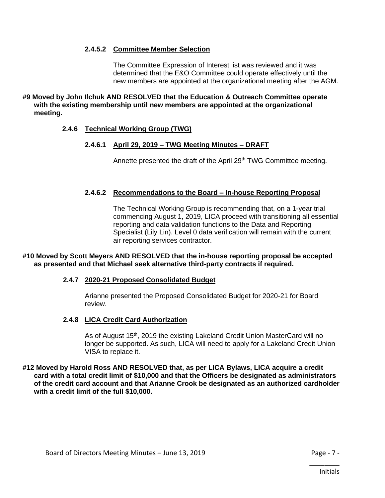# **2.4.5.2 Committee Member Selection**

The Committee Expression of Interest list was reviewed and it was determined that the E&O Committee could operate effectively until the new members are appointed at the organizational meeting after the AGM.

**#9 Moved by John Ilchuk AND RESOLVED that the Education & Outreach Committee operate with the existing membership until new members are appointed at the organizational meeting.**

# **2.4.6 Technical Working Group (TWG)**

# **2.4.6.1 April 29, 2019 – TWG Meeting Minutes – DRAFT**

Annette presented the draft of the April 29<sup>th</sup> TWG Committee meeting.

# **2.4.6.2 Recommendations to the Board – In-house Reporting Proposal**

The Technical Working Group is recommending that, on a 1-year trial commencing August 1, 2019, LICA proceed with transitioning all essential reporting and data validation functions to the Data and Reporting Specialist (Lily Lin). Level 0 data verification will remain with the current air reporting services contractor.

# **#10 Moved by Scott Meyers AND RESOLVED that the in-house reporting proposal be accepted as presented and that Michael seek alternative third-party contracts if required.**

# **2.4.7 2020-21 Proposed Consolidated Budget**

Arianne presented the Proposed Consolidated Budget for 2020-21 for Board review.

# **2.4.8 LICA Credit Card Authorization**

As of August 15<sup>th</sup>, 2019 the existing Lakeland Credit Union MasterCard will no longer be supported. As such, LICA will need to apply for a Lakeland Credit Union VISA to replace it.

#### **#12 Moved by Harold Ross AND RESOLVED that, as per LICA Bylaws, LICA acquire a credit card with a total credit limit of \$10,000 and that the Officers be designated as administrators of the credit card account and that Arianne Crook be designated as an authorized cardholder with a credit limit of the full \$10,000.**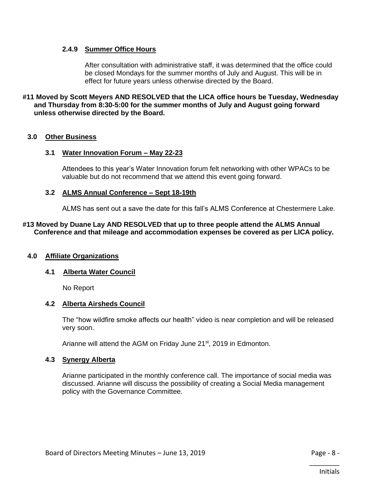#### **2.4.9 Summer Office Hours**

After consultation with administrative staff, it was determined that the office could be closed Mondays for the summer months of July and August. This will be in effect for future years unless otherwise directed by the Board.

**#11 Moved by Scott Meyers AND RESOLVED that the LICA office hours be Tuesday, Wednesday and Thursday from 8:30-5:00 for the summer months of July and August going forward unless otherwise directed by the Board.** 

#### **3.0 Other Business**

#### **3.1 Water Innovation Forum – May 22-23**

Attendees to this year's Water Innovation forum felt networking with other WPACs to be valuable but do not recommend that we attend this event going forward.

#### **3.2 ALMS Annual Conference – Sept 18-19th**

ALMS has sent out a save the date for this fall's ALMS Conference at Chestermere Lake.

#### **#13 Moved by Duane Lay AND RESOLVED that up to three people attend the ALMS Annual Conference and that mileage and accommodation expenses be covered as per LICA policy.**

#### **4.0 Affiliate Organizations**

#### **4.1 Alberta Water Council**

No Report

# **4.2 Alberta Airsheds Council**

The "how wildfire smoke affects our health" video is near completion and will be released very soon.

Arianne will attend the AGM on Friday June 21st, 2019 in Edmonton.

#### **4.3 Synergy Alberta**

Arianne participated in the monthly conference call. The importance of social media was discussed. Arianne will discuss the possibility of creating a Social Media management policy with the Governance Committee.